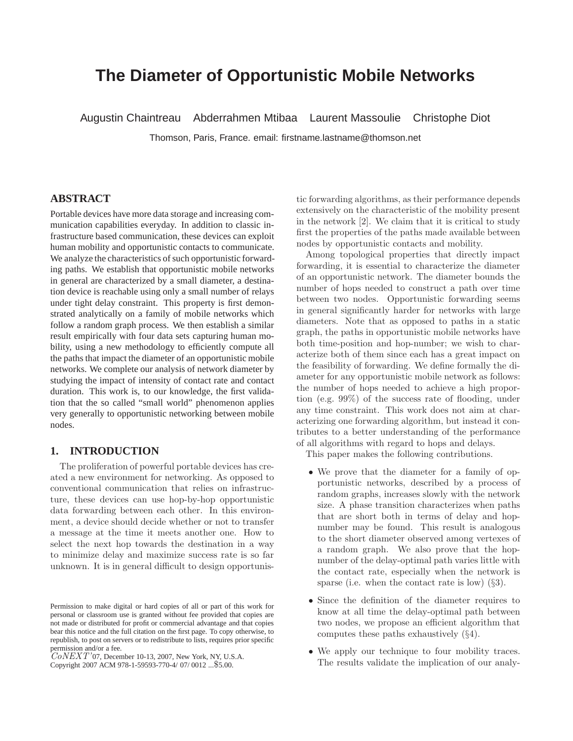# **The Diameter of Opportunistic Mobile Networks**

Augustin Chaintreau Abderrahmen Mtibaa Laurent Massoulie Christophe Diot

Thomson, Paris, France. email: firstname.lastname@thomson.net

# **ABSTRACT**

Portable devices have more data storage and increasing communication capabilities everyday. In addition to classic infrastructure based communication, these devices can exploit human mobility and opportunistic contacts to communicate. We analyze the characteristics of such opportunistic forwarding paths. We establish that opportunistic mobile networks in general are characterized by a small diameter, a destination device is reachable using only a small number of relays under tight delay constraint. This property is first demonstrated analytically on a family of mobile networks which follow a random graph process. We then establish a similar result empirically with four data sets capturing human mobility, using a new methodology to efficiently compute all the paths that impact the diameter of an opportunistic mobile networks. We complete our analysis of network diameter by studying the impact of intensity of contact rate and contact duration. This work is, to our knowledge, the first validation that the so called "small world" phenomenon applies very generally to opportunistic networking between mobile nodes.

## **1. INTRODUCTION**

The proliferation of powerful portable devices has created a new environment for networking. As opposed to conventional communication that relies on infrastructure, these devices can use hop-by-hop opportunistic data forwarding between each other. In this environment, a device should decide whether or not to transfer a message at the time it meets another one. How to select the next hop towards the destination in a way to minimize delay and maximize success rate is so far unknown. It is in general difficult to design opportunis-

permission and/or a fee.<br>CoNEXT'07, December 10-13, 2007, New York, NY, U.S.A.

tic forwarding algorithms, as their performance depends extensively on the characteristic of the mobility present in the network [2]. We claim that it is critical to study first the properties of the paths made available between nodes by opportunistic contacts and mobility.

Among topological properties that directly impact forwarding, it is essential to characterize the diameter of an opportunistic network. The diameter bounds the number of hops needed to construct a path over time between two nodes. Opportunistic forwarding seems in general significantly harder for networks with large diameters. Note that as opposed to paths in a static graph, the paths in opportunistic mobile networks have both time-position and hop-number; we wish to characterize both of them since each has a great impact on the feasibility of forwarding. We define formally the diameter for any opportunistic mobile network as follows: the number of hops needed to achieve a high proportion (e.g. 99%) of the success rate of flooding, under any time constraint. This work does not aim at characterizing one forwarding algorithm, but instead it contributes to a better understanding of the performance of all algorithms with regard to hops and delays.

This paper makes the following contributions.

- We prove that the diameter for a family of opportunistic networks, described by a process of random graphs, increases slowly with the network size. A phase transition characterizes when paths that are short both in terms of delay and hopnumber may be found. This result is analogous to the short diameter observed among vertexes of a random graph. We also prove that the hopnumber of the delay-optimal path varies little with the contact rate, especially when the network is sparse (i.e. when the contact rate is low)  $(\S3)$ .
- Since the definition of the diameter requires to know at all time the delay-optimal path between two nodes, we propose an efficient algorithm that computes these paths exhaustively (§4).
- We apply our technique to four mobility traces. The results validate the implication of our analy-

Permission to make digital or hard copies of all or part of this work for personal or classroom use is granted without fee provided that copies are not made or distributed for profit or commercial advantage and that copies bear this notice and the full citation on the first page. To copy otherwise, to republish, to post on servers or to redistribute to lists, requires prior specific

Copyright 2007 ACM 978-1-59593-770-4/ 07/ 0012 ...\$5.00.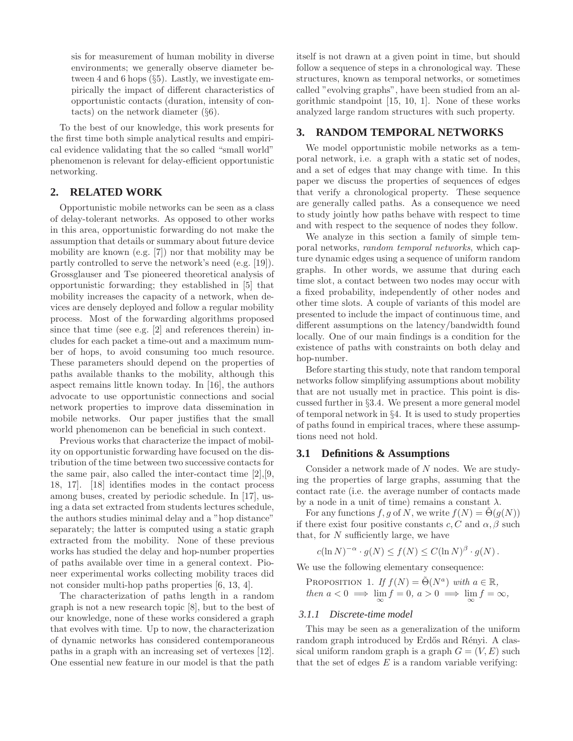sis for measurement of human mobility in diverse environments; we generally observe diameter between 4 and 6 hops (§5). Lastly, we investigate empirically the impact of different characteristics of opportunistic contacts (duration, intensity of contacts) on the network diameter (§6).

To the best of our knowledge, this work presents for the first time both simple analytical results and empirical evidence validating that the so called "small world" phenomenon is relevant for delay-efficient opportunistic networking.

# **2. RELATED WORK**

Opportunistic mobile networks can be seen as a class of delay-tolerant networks. As opposed to other works in this area, opportunistic forwarding do not make the assumption that details or summary about future device mobility are known (e.g. [7]) nor that mobility may be partly controlled to serve the network's need (e.g. [19]). Grossglauser and Tse pioneered theoretical analysis of opportunistic forwarding; they established in [5] that mobility increases the capacity of a network, when devices are densely deployed and follow a regular mobility process. Most of the forwarding algorithms proposed since that time (see e.g. [2] and references therein) includes for each packet a time-out and a maximum number of hops, to avoid consuming too much resource. These parameters should depend on the properties of paths available thanks to the mobility, although this aspect remains little known today. In [16], the authors advocate to use opportunistic connections and social network properties to improve data dissemination in mobile networks. Our paper justifies that the small world phenomenon can be beneficial in such context.

Previous works that characterize the impact of mobility on opportunistic forwarding have focused on the distribution of the time between two successive contacts for the same pair, also called the inter-contact time [2],[9, 18, 17]. [18] identifies modes in the contact process among buses, created by periodic schedule. In [17], using a data set extracted from students lectures schedule, the authors studies minimal delay and a "hop distance" separately; the latter is computed using a static graph extracted from the mobility. None of these previous works has studied the delay and hop-number properties of paths available over time in a general context. Pioneer experimental works collecting mobility traces did not consider multi-hop paths properties [6, 13, 4].

The characterization of paths length in a random graph is not a new research topic [8], but to the best of our knowledge, none of these works considered a graph that evolves with time. Up to now, the characterization of dynamic networks has considered contemporaneous paths in a graph with an increasing set of vertexes [12]. One essential new feature in our model is that the path

itself is not drawn at a given point in time, but should follow a sequence of steps in a chronological way. These structures, known as temporal networks, or sometimes called "evolving graphs", have been studied from an algorithmic standpoint [15, 10, 1]. None of these works analyzed large random structures with such property.

# **3. RANDOM TEMPORAL NETWORKS**

We model opportunistic mobile networks as a temporal network, i.e. a graph with a static set of nodes, and a set of edges that may change with time. In this paper we discuss the properties of sequences of edges that verify a chronological property. These sequence are generally called paths. As a consequence we need to study jointly how paths behave with respect to time and with respect to the sequence of nodes they follow.

We analyze in this section a family of simple temporal networks, random temporal networks, which capture dynamic edges using a sequence of uniform random graphs. In other words, we assume that during each time slot, a contact between two nodes may occur with a fixed probability, independently of other nodes and other time slots. A couple of variants of this model are presented to include the impact of continuous time, and different assumptions on the latency/bandwidth found locally. One of our main findings is a condition for the existence of paths with constraints on both delay and hop-number.

Before starting this study, note that random temporal networks follow simplifying assumptions about mobility that are not usually met in practice. This point is discussed further in §3.4. We present a more general model of temporal network in §4. It is used to study properties of paths found in empirical traces, where these assumptions need not hold.

#### **3.1 Definitions & Assumptions**

Consider a network made of N nodes. We are studying the properties of large graphs, assuming that the contact rate (i.e. the average number of contacts made by a node in a unit of time) remains a constant  $\lambda$ .

For any functions f, g of N, we write  $f(N) = \Theta(g(N))$ if there exist four positive constants c, C and  $\alpha$ ,  $\beta$  such that, for N sufficiently large, we have

$$
c(\ln N)^{-\alpha} \cdot g(N) \le f(N) \le C(\ln N)^{\beta} \cdot g(N).
$$

We use the following elementary consequence:

PROPOSITION 1. If  $f(N) = \tilde{\Theta}(N^a)$  with  $a \in \mathbb{R}$ , then  $a < 0 \implies \lim_{\infty} f = 0, a > 0 \implies \lim_{\infty} f = \infty$ ,

#### *3.1.1 Discrete-time model*

This may be seen as a generalization of the uniform random graph introduced by Erdős and Rényi. A classical uniform random graph is a graph  $G = (V, E)$  such that the set of edges  $E$  is a random variable verifying: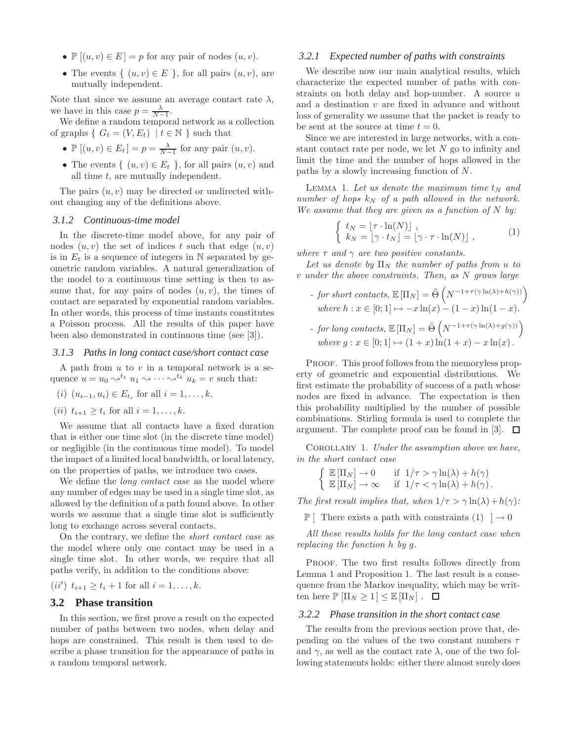- $\mathbb{P}[(u, v) \in E] = p$  for any pair of nodes  $(u, v)$ .
- The events  $\{ (u, v) \in E \}$ , for all pairs  $(u, v)$ , are mutually independent.

Note that since we assume an average contact rate  $\lambda$ , we have in this case  $p = \frac{\lambda}{N-1}$ .

We define a random temporal network as a collection of graphs {  $G_t = (V, E_t) | t \in \mathbb{N}$  } such that

- $\mathbb{P}[(u, v) \in E_t] = p = \frac{\lambda}{N-1}$  for any pair  $(u, v)$ .
- The events  $\{ (u, v) \in E_t \}$ , for all pairs  $(u, v)$  and all time t, are mutually independent.

The pairs  $(u, v)$  may be directed or undirected without changing any of the definitions above.

#### *3.1.2 Continuous-time model*

In the discrete-time model above, for any pair of nodes  $(u, v)$  the set of indices t such that edge  $(u, v)$ is in  $E_t$  is a sequence of integers in  $\mathbb N$  separated by geometric random variables. A natural generalization of the model to a continuous time setting is then to assume that, for any pairs of nodes  $(u, v)$ , the times of contact are separated by exponential random variables. In other words, this process of time instants constitutes a Poisson process. All the results of this paper have been also demonstrated in continuous time (see [3]).

#### *3.1.3 Paths in long contact case/short contact case*

A path from  $u$  to  $v$  in a temporal network is a sequence  $u = u_0 \leadsto^{t_1} u_1 \leadsto \cdots \leadsto^{t_k} u_k = v$  such that:

- $(i)$   $(u_{i-1}, u_i)$  ∈  $E_{t_i}$  for all  $i = 1, ..., k$ ,
- (*ii*)  $t_{i+1} \geq t_i$  for all  $i = 1, ..., k$ .

We assume that all contacts have a fixed duration that is either one time slot (in the discrete time model) or negligible (in the continuous time model). To model the impact of a limited local bandwidth, or local latency, on the properties of paths, we introduce two cases.

We define the *long contact case* as the model where any number of edges may be used in a single time slot, as allowed by the definition of a path found above. In other words we assume that a single time slot is sufficiently long to exchange across several contacts.

On the contrary, we define the short contact case as the model where only one contact may be used in a single time slot. In other words, we require that all paths verify, in addition to the conditions above:

(*ii'*)  $t_{i+1} \geq t_i + 1$  for all  $i = 1, ..., k$ .

# **3.2 Phase transition**

In this section, we first prove a result on the expected number of paths between two nodes, when delay and hops are constrained. This result is then used to describe a phase transition for the appearance of paths in a random temporal network.

#### *3.2.1 Expected number of paths with constraints*

We describe now our main analytical results, which characterize the expected number of paths with constraints on both delay and hop-number. A source  $u$ and a destination  $v$  are fixed in advance and without loss of generality we assume that the packet is ready to be sent at the source at time  $t = 0$ .

Since we are interested in large networks, with a constant contact rate per node, we let  $N$  go to infinity and limit the time and the number of hops allowed in the paths by a slowly increasing function of N.

LEMMA 1. Let us denote the maximum time  $t_N$  and number of hops  $k_N$  of a path allowed in the network. We assume that they are given as a function of  $N$  by:

$$
\begin{cases} t_N = [\tau \cdot \ln(N)] , \\ k_N = [\gamma \cdot t_N] = [\gamma \cdot \tau \cdot \ln(N)] , \end{cases} (1)
$$

where  $\tau$  and  $\gamma$  are two positive constants.

Let us denote by  $\Pi_N$  the number of paths from u to v under the above constraints. Then, as N grows large

- for short contacts,  $\mathbb{E} [\Pi_N] = \tilde{\Theta} \left( N^{-1+\tau(\gamma \ln(\lambda)+h(\gamma))} \right)$ where  $h : x \in [0; 1] \mapsto -x \ln(x) - (1 - x) \ln(1 - x)$ . - for long contacts,  $\mathbb{E} [\Pi_N] = \tilde{\Theta} \left( N^{-1+\tau(\gamma \ln(\lambda)+g(\gamma))} \right)$ 
	- where  $g: x \in [0; 1] \mapsto (1 + x) \ln(1 + x) x \ln(x)$ .

PROOF. This proof follows from the memoryless property of geometric and exponential distributions. We first estimate the probability of success of a path whose nodes are fixed in advance. The expectation is then this probability multiplied by the number of possible combinations. Stirling formula is used to complete the argument. The complete proof can be found in [3].  $\Box$ 

COROLLARY 1. Under the assumption above we have, in the short contact case

$$
\begin{cases} \mathbb{E}[\Pi_N] \to 0 & \text{if } 1/\tau > \gamma \ln(\lambda) + h(\gamma) \\ \mathbb{E}[\Pi_N] \to \infty & \text{if } 1/\tau < \gamma \ln(\lambda) + h(\gamma) \,. \end{cases}
$$

The first result implies that, when  $1/\tau > \gamma \ln(\lambda) + h(\gamma)$ :

 $\mathbb{P}$  [ There exists a path with constraints (1) ]  $\rightarrow$  0

All these results holds for the long contact case when replacing the function h by g.

PROOF. The two first results follows directly from Lemma 1 and Proposition 1. The last result is a consequence from the Markov inequality, which may be written here  $\mathbb{P} [\Pi_N \geq 1] \leq \mathbb{E} [\Pi_N]$ .  $\Box$ 

#### *3.2.2 Phase transition in the short contact case*

The results from the previous section prove that, depending on the values of the two constant numbers  $\tau$ and  $\gamma$ , as well as the contact rate  $\lambda$ , one of the two following statements holds: either there almost surely does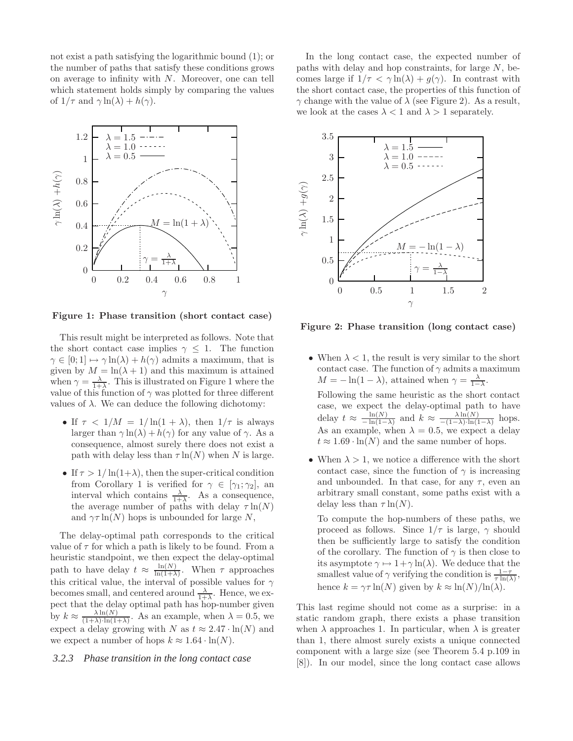not exist a path satisfying the logarithmic bound (1); or the number of paths that satisfy these conditions grows on average to infinity with N. Moreover, one can tell which statement holds simply by comparing the values of  $1/\tau$  and  $\gamma \ln(\lambda) + h(\gamma)$ .



Figure 1: Phase transition (short contact case)

This result might be interpreted as follows. Note that the short contact case implies  $\gamma \leq 1$ . The function  $\gamma \in [0; 1] \mapsto \gamma \ln(\lambda) + h(\gamma)$  admits a maximum, that is given by  $M = \ln(\lambda + 1)$  and this maximum is attained when  $\gamma = \frac{\lambda}{1+\lambda}$ . This is illustrated on Figure 1 where the value of this function of  $\gamma$  was plotted for three different values of λ. We can deduce the following dichotomy:

- If  $\tau$  <  $1/M = 1/\ln(1 + \lambda)$ , then  $1/\tau$  is always larger than  $\gamma \ln(\lambda) + h(\gamma)$  for any value of  $\gamma$ . As a consequence, almost surely there does not exist a path with delay less than  $\tau \ln(N)$  when N is large.
- If  $\tau > 1/\ln(1+\lambda)$ , then the super-critical condition from Corollary 1 is verified for  $\gamma \in [\gamma_1; \gamma_2]$ , an interval which contains  $\frac{\lambda}{1+\lambda}$ . As a consequence, the average number of paths with delay  $\tau \ln(N)$ and  $\gamma \tau \ln(N)$  hops is unbounded for large N,

The delay-optimal path corresponds to the critical value of  $\tau$  for which a path is likely to be found. From a heuristic standpoint, we then expect the delay-optimal path to have delay  $t \approx \frac{\ln(N)}{\ln(1+\lambda)}$  $\frac{\ln(N)}{\ln(1+\lambda)}$ . When  $\tau$  approaches this critical value, the interval of possible values for  $\gamma$ becomes small, and centered around  $\frac{\lambda}{1+\lambda}$ . Hence, we expect that the delay optimal path has hop-number given by  $k \approx \frac{\lambda \ln(N)}{(1+\lambda)\cdot \ln(1+\lambda)}$ . As an example, when  $\lambda = 0.5$ , we expect a delay growing with N as  $t \approx 2.47 \cdot \ln(N)$  and we expect a number of hops  $k \approx 1.64 \cdot \ln(N)$ .

#### *3.2.3 Phase transition in the long contact case*

In the long contact case, the expected number of paths with delay and hop constraints, for large N, becomes large if  $1/\tau < \gamma \ln(\lambda) + g(\gamma)$ . In contrast with the short contact case, the properties of this function of  $\gamma$  change with the value of  $\lambda$  (see Figure 2). As a result, we look at the cases  $\lambda < 1$  and  $\lambda > 1$  separately.



Figure 2: Phase transition (long contact case)

• When  $\lambda < 1$ , the result is very similar to the short contact case. The function of  $\gamma$  admits a maximum  $M = -\ln(1 - \lambda)$ , attained when  $\gamma = \frac{\lambda}{1 - \lambda}$ .

Following the same heuristic as the short contact case, we expect the delay-optimal path to have delay  $t \approx \frac{\ln(N)}{-\ln(1-\lambda)}$  and  $k \approx \frac{\lambda \ln(N)}{-(1-\lambda)\cdot\ln(1-\lambda)}$  hops. As an example, when  $\lambda = 0.5$ , we expect a delay  $t \approx 1.69 \cdot \ln(N)$  and the same number of hops.

• When  $\lambda > 1$ , we notice a difference with the short contact case, since the function of  $\gamma$  is increasing and unbounded. In that case, for any  $\tau$ , even an arbitrary small constant, some paths exist with a delay less than  $\tau \ln(N)$ .

To compute the hop-numbers of these paths, we proceed as follows. Since  $1/\tau$  is large,  $\gamma$  should then be sufficiently large to satisfy the condition of the corollary. The function of  $\gamma$  is then close to its asymptote  $\gamma \mapsto 1 + \gamma \ln(\lambda)$ . We deduce that the smallest value of  $\gamma$  verifying the condition is  $\frac{1-\tau}{\tau \ln(\lambda)}$ , hence  $k = \gamma \tau \ln(N)$  given by  $k \approx \ln(N)/\ln(\lambda)$ .

This last regime should not come as a surprise: in a static random graph, there exists a phase transition when  $\lambda$  approaches 1. In particular, when  $\lambda$  is greater than 1, there almost surely exists a unique connected component with a large size (see Theorem 5.4 p.109 in [8]). In our model, since the long contact case allows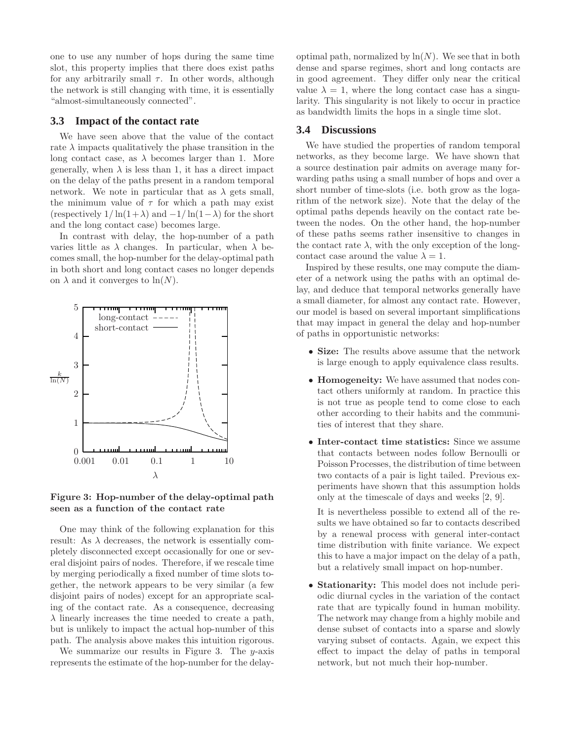one to use any number of hops during the same time slot, this property implies that there does exist paths for any arbitrarily small  $\tau$ . In other words, although the network is still changing with time, it is essentially "almost-simultaneously connected".

#### **3.3 Impact of the contact rate**

We have seen above that the value of the contact rate  $\lambda$  impacts qualitatively the phase transition in the long contact case, as  $\lambda$  becomes larger than 1. More generally, when  $\lambda$  is less than 1, it has a direct impact on the delay of the paths present in a random temporal network. We note in particular that as  $\lambda$  gets small, the minimum value of  $\tau$  for which a path may exist (respectively  $1/\ln(1+\lambda)$  and  $-1/\ln(1-\lambda)$  for the short and the long contact case) becomes large.

In contrast with delay, the hop-number of a path varies little as  $\lambda$  changes. In particular, when  $\lambda$  becomes small, the hop-number for the delay-optimal path in both short and long contact cases no longer depends on  $\lambda$  and it converges to  $\ln(N)$ .



# Figure 3: Hop-number of the delay-optimal path seen as a function of the contact rate

One may think of the following explanation for this result: As  $\lambda$  decreases, the network is essentially completely disconnected except occasionally for one or several disjoint pairs of nodes. Therefore, if we rescale time by merging periodically a fixed number of time slots together, the network appears to be very similar (a few disjoint pairs of nodes) except for an appropriate scaling of the contact rate. As a consequence, decreasing  $\lambda$  linearly increases the time needed to create a path, but is unlikely to impact the actual hop-number of this path. The analysis above makes this intuition rigorous.

We summarize our results in Figure 3. The  $y$ -axis represents the estimate of the hop-number for the delayoptimal path, normalized by  $\ln(N)$ . We see that in both dense and sparse regimes, short and long contacts are in good agreement. They differ only near the critical value  $\lambda = 1$ , where the long contact case has a singularity. This singularity is not likely to occur in practice as bandwidth limits the hops in a single time slot.

## **3.4 Discussions**

We have studied the properties of random temporal networks, as they become large. We have shown that a source destination pair admits on average many forwarding paths using a small number of hops and over a short number of time-slots (i.e. both grow as the logarithm of the network size). Note that the delay of the optimal paths depends heavily on the contact rate between the nodes. On the other hand, the hop-number of these paths seems rather insensitive to changes in the contact rate  $\lambda$ , with the only exception of the longcontact case around the value  $\lambda = 1$ .

Inspired by these results, one may compute the diameter of a network using the paths with an optimal delay, and deduce that temporal networks generally have a small diameter, for almost any contact rate. However, our model is based on several important simplifications that may impact in general the delay and hop-number of paths in opportunistic networks:

- Size: The results above assume that the network is large enough to apply equivalence class results.
- Homogeneity: We have assumed that nodes contact others uniformly at random. In practice this is not true as people tend to come close to each other according to their habits and the communities of interest that they share.
- Inter-contact time statistics: Since we assume that contacts between nodes follow Bernoulli or Poisson Processes, the distribution of time between two contacts of a pair is light tailed. Previous experiments have shown that this assumption holds only at the timescale of days and weeks [2, 9].

It is nevertheless possible to extend all of the results we have obtained so far to contacts described by a renewal process with general inter-contact time distribution with finite variance. We expect this to have a major impact on the delay of a path, but a relatively small impact on hop-number.

• Stationarity: This model does not include periodic diurnal cycles in the variation of the contact rate that are typically found in human mobility. The network may change from a highly mobile and dense subset of contacts into a sparse and slowly varying subset of contacts. Again, we expect this effect to impact the delay of paths in temporal network, but not much their hop-number.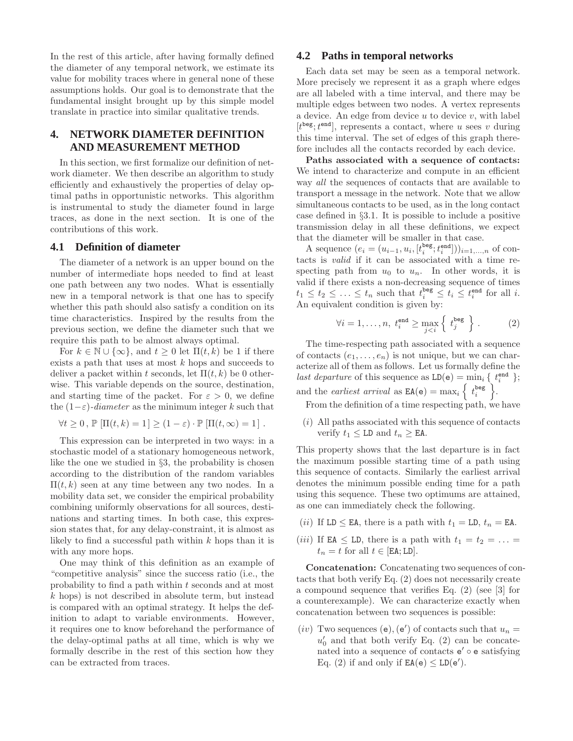In the rest of this article, after having formally defined the diameter of any temporal network, we estimate its value for mobility traces where in general none of these assumptions holds. Our goal is to demonstrate that the fundamental insight brought up by this simple model translate in practice into similar qualitative trends.

# **4. NETWORK DIAMETER DEFINITION AND MEASUREMENT METHOD**

In this section, we first formalize our definition of network diameter. We then describe an algorithm to study efficiently and exhaustively the properties of delay optimal paths in opportunistic networks. This algorithm is instrumental to study the diameter found in large traces, as done in the next section. It is one of the contributions of this work.

#### **4.1 Definition of diameter**

The diameter of a network is an upper bound on the number of intermediate hops needed to find at least one path between any two nodes. What is essentially new in a temporal network is that one has to specify whether this path should also satisfy a condition on its time characteristics. Inspired by the results from the previous section, we define the diameter such that we require this path to be almost always optimal.

For  $k \in \mathbb{N} \cup \{\infty\}$ , and  $t \geq 0$  let  $\Pi(t, k)$  be 1 if there exists a path that uses at most k hops and succeeds to deliver a packet within t seconds, let  $\Pi(t, k)$  be 0 otherwise. This variable depends on the source, destination, and starting time of the packet. For  $\varepsilon > 0$ , we define the  $(1-\varepsilon)$ -diameter as the minimum integer k such that

$$
\forall t \geq 0, \mathbb{P} \left[ \Pi(t, k) = 1 \right] \geq (1 - \varepsilon) \cdot \mathbb{P} \left[ \Pi(t, \infty) = 1 \right].
$$

This expression can be interpreted in two ways: in a stochastic model of a stationary homogeneous network, like the one we studied in §3, the probability is chosen according to the distribution of the random variables  $\Pi(t, k)$  seen at any time between any two nodes. In a mobility data set, we consider the empirical probability combining uniformly observations for all sources, destinations and starting times. In both case, this expression states that, for any delay-constraint, it is almost as likely to find a successful path within  $k$  hops than it is with any more hops.

One may think of this definition as an example of "competitive analysis" since the success ratio (i.e., the probability to find a path within t seconds and at most  $k$  hops) is not described in absolute term, but instead is compared with an optimal strategy. It helps the definition to adapt to variable environments. However, it requires one to know beforehand the performance of the delay-optimal paths at all time, which is why we formally describe in the rest of this section how they can be extracted from traces.

## **4.2 Paths in temporal networks**

Each data set may be seen as a temporal network. More precisely we represent it as a graph where edges are all labeled with a time interval, and there may be multiple edges between two nodes. A vertex represents a device. An edge from device  $u$  to device  $v$ , with label  $[t<sup>beg</sup>; t<sup>end</sup>]$ , represents a contact, where u sees v during this time interval. The set of edges of this graph therefore includes all the contacts recorded by each device.

Paths associated with a sequence of contacts: We intend to characterize and compute in an efficient way *all* the sequences of contacts that are available to transport a message in the network. Note that we allow simultaneous contacts to be used, as in the long contact case defined in §3.1. It is possible to include a positive transmission delay in all these definitions, we expect that the diameter will be smaller in that case.

A sequence  $(e_i = (u_{i-1}, u_i, [t_i^{\text{beg}}, t_i^{\text{end}}]))_{i=1,...,n}$  of contacts is valid if it can be associated with a time respecting path from  $u_0$  to  $u_n$ . In other words, it is valid if there exists a non-decreasing sequence of times  $t_1 \leq t_2 \leq \ldots \leq t_n$  such that  $t_i^{\text{beg}} \leq t_i \leq t_i^{\text{end}}$  for all *i*. An equivalent condition is given by:

$$
\forall i = 1, \dots, n, \ t_i^{\text{end}} \ge \max_{j < i} \left\{ \ t_j^{\text{beg}} \right\} . \tag{2}
$$

The time-respecting path associated with a sequence of contacts  $(e_1, \ldots, e_n)$  is not unique, but we can characterize all of them as follows. Let us formally define the last departure of this sequence as  $LD(e) = min_i \{ t_i^{end} \};$ and the *earliest arrival* as  $EA(e) = \max_i \left\{ t_i^{\text{beg}} \right\}.$ 

From the definition of a time respecting path, we have

 $(i)$  All paths associated with this sequence of contacts verify  $t_1 \leq L\mathbf{D}$  and  $t_n \geq \mathbf{E}\mathbf{A}$ .

This property shows that the last departure is in fact the maximum possible starting time of a path using this sequence of contacts. Similarly the earliest arrival denotes the minimum possible ending time for a path using this sequence. These two optimums are attained, as one can immediately check the following.

- (*ii*) If LD  $\leq$  EA, there is a path with  $t_1 =$  LD,  $t_n =$  EA.
- (*iii*) If EA  $\leq$  LD, there is a path with  $t_1 = t_2 = \ldots$  $t_n = t$  for all  $t \in [EA; LD]$ .

Concatenation: Concatenating two sequences of contacts that both verify Eq. (2) does not necessarily create a compound sequence that verifies Eq. (2) (see [3] for a counterexample). We can characterize exactly when concatenation between two sequences is possible:

(iv) Two sequences (e), (e') of contacts such that  $u_n =$  $u'_0$  and that both verify Eq. (2) can be concatenated into a sequence of contacts e' ∘ e satisfying Eq. (2) if and only if  $EA(e) \leq LD(e')$ .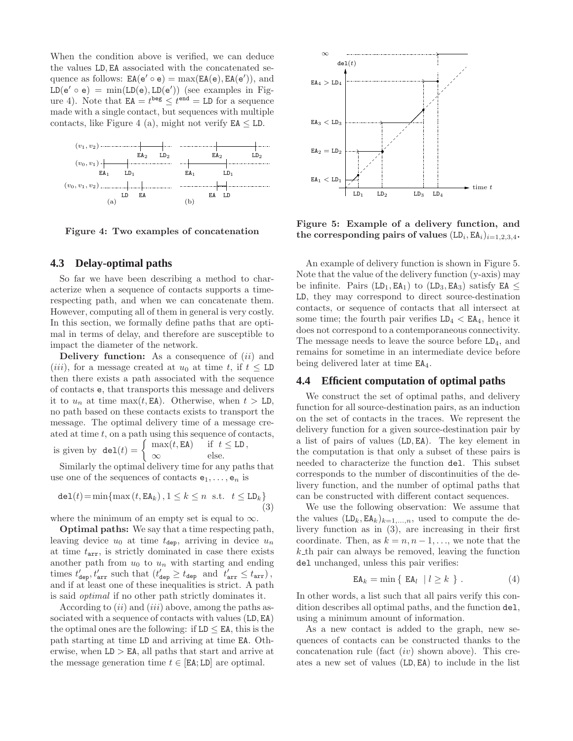When the condition above is verified, we can deduce the values LD, EA associated with the concatenated sequence as follows:  $EA(e' \circ e) = \max(EA(e), EA(e')),$  and  $LD(e' \circ e) = min(LD(e), LD(e'))$  (see examples in Figure 4). Note that  $EA = t^{\text{beg}} \leq t^{\text{end}} = LD$  for a sequence made with a single contact, but sequences with multiple contacts, like Figure 4 (a), might not verify  $EA \leq LD$ .



Figure 4: Two examples of concatenation

### **4.3 Delay-optimal paths**

So far we have been describing a method to characterize when a sequence of contacts supports a timerespecting path, and when we can concatenate them. However, computing all of them in general is very costly. In this section, we formally define paths that are optimal in terms of delay, and therefore are susceptible to impact the diameter of the network.

Delivery function: As a consequence of  $(ii)$  and (*iii*), for a message created at  $u_0$  at time t, if  $t \leq L$ D then there exists a path associated with the sequence of contacts e, that transports this message and delivers it to  $u_n$  at time max(t, EA). Otherwise, when  $t > L$ D, no path based on these contacts exists to transport the message. The optimal delivery time of a message created at time  $t$ , on a path using this sequence of contacts, is given by  $det(t) = \begin{cases} \max(t, EA) & \text{if } t \leq LD, \\ \infty & \text{else.} \end{cases}$ 

 $\infty$  else.

Similarly the optimal delivery time for any paths that use one of the sequences of contacts  $e_1, \ldots, e_n$  is

$$
\text{del}(t) = \min\{\max(t, \text{EA}_k), 1 \le k \le n \text{ s.t. } t \le \text{LD}_k\}\tag{3}
$$

where the minimum of an empty set is equal to  $\infty$ .

Optimal paths: We say that a time respecting path, leaving device  $u_0$  at time  $t_{\text{dep}}$ , arriving in device  $u_n$ at time  $t_{\text{arr}}$ , is strictly dominated in case there exists another path from  $u_0$  to  $u_n$  with starting and ending times  $t'_{\text{dep}}, t'_{\text{arr}}$  such that  $(t'_{\text{dep}} \geq t_{\text{dep}}$  and  $t'_{\text{arr}} \leq t_{\text{arr}})$ , and if at least one of these inequalities is strict. A path is said optimal if no other path strictly dominates it.

According to  $(ii)$  and  $(iii)$  above, among the paths associated with a sequence of contacts with values (LD, EA) the optimal ones are the following: if  $LD \leq EA$ , this is the path starting at time LD and arriving at time EA. Otherwise, when  $LD > EA$ , all paths that start and arrive at the message generation time  $t \in [EA; LD]$  are optimal.



Figure 5: Example of a delivery function, and the corresponding pairs of values  $(LD_i, EA_i)_{i=1,2,3,4}$ .

An example of delivery function is shown in Figure 5. Note that the value of the delivery function (y-axis) may be infinite. Pairs (LD<sub>1</sub>, EA<sub>1</sub>) to (LD<sub>3</sub>, EA<sub>3</sub>) satisfy EA  $\leq$ LD, they may correspond to direct source-destination contacts, or sequence of contacts that all intersect at some time; the fourth pair verifies  $LD_4 < EA_4$ , hence it does not correspond to a contemporaneous connectivity. The message needs to leave the source before LD4, and remains for sometime in an intermediate device before being delivered later at time EA4.

## **4.4 Efficient computation of optimal paths**

We construct the set of optimal paths, and delivery function for all source-destination pairs, as an induction on the set of contacts in the traces. We represent the delivery function for a given source-destination pair by a list of pairs of values (LD, EA). The key element in the computation is that only a subset of these pairs is needed to characterize the function del. This subset corresponds to the number of discontinuities of the delivery function, and the number of optimal paths that can be constructed with different contact sequences.

We use the following observation: We assume that the values  $(LD_k, EA_k)_{k=1,...,n}$ , used to compute the delivery function as in (3), are increasing in their first coordinate. Then, as  $k = n, n - 1, \ldots$ , we note that the  $k$  th pair can always be removed, leaving the function del unchanged, unless this pair verifies:

$$
EA_k = \min\{ EA_l \mid l \ge k \}.
$$
 (4)

In other words, a list such that all pairs verify this condition describes all optimal paths, and the function del, using a minimum amount of information.

As a new contact is added to the graph, new sequences of contacts can be constructed thanks to the concatenation rule (fact  $(iv)$  shown above). This creates a new set of values (LD, EA) to include in the list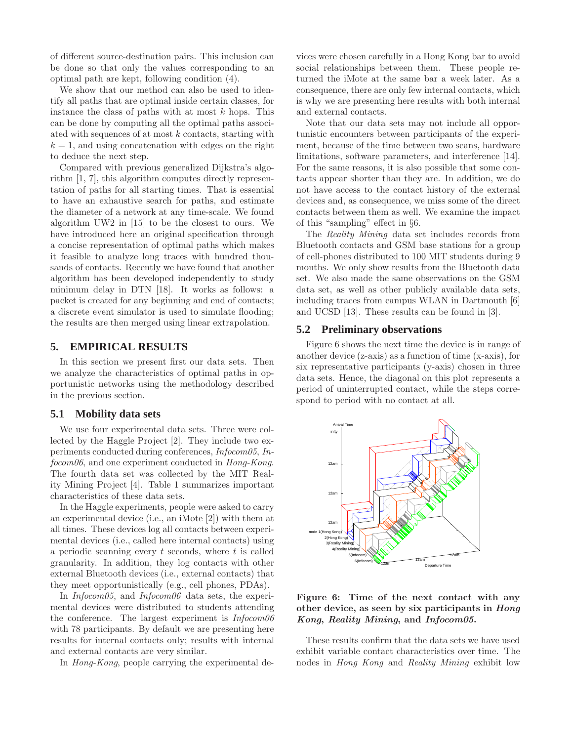of different source-destination pairs. This inclusion can be done so that only the values corresponding to an optimal path are kept, following condition (4).

We show that our method can also be used to identify all paths that are optimal inside certain classes, for instance the class of paths with at most  $k$  hops. This can be done by computing all the optimal paths associated with sequences of at most  $k$  contacts, starting with  $k = 1$ , and using concatenation with edges on the right to deduce the next step.

Compared with previous generalized Dijkstra's algorithm [1, 7], this algorithm computes directly representation of paths for all starting times. That is essential to have an exhaustive search for paths, and estimate the diameter of a network at any time-scale. We found algorithm UW2 in [15] to be the closest to ours. We have introduced here an original specification through a concise representation of optimal paths which makes it feasible to analyze long traces with hundred thousands of contacts. Recently we have found that another algorithm has been developed independently to study minimum delay in DTN [18]. It works as follows: a packet is created for any beginning and end of contacts; a discrete event simulator is used to simulate flooding; the results are then merged using linear extrapolation.

# **5. EMPIRICAL RESULTS**

In this section we present first our data sets. Then we analyze the characteristics of optimal paths in opportunistic networks using the methodology described in the previous section.

#### **5.1 Mobility data sets**

We use four experimental data sets. Three were collected by the Haggle Project [2]. They include two experiments conducted during conferences, Infocom05, Infocom06, and one experiment conducted in Hong-Kong. The fourth data set was collected by the MIT Reality Mining Project [4]. Table 1 summarizes important characteristics of these data sets.

In the Haggle experiments, people were asked to carry an experimental device (i.e., an iMote [2]) with them at all times. These devices log all contacts between experimental devices (i.e., called here internal contacts) using a periodic scanning every  $t$  seconds, where  $t$  is called granularity. In addition, they log contacts with other external Bluetooth devices (i.e., external contacts) that they meet opportunistically (e.g., cell phones, PDAs).

In *Infocom05*, and *Infocom06* data sets, the experimental devices were distributed to students attending the conference. The largest experiment is  $Infocom06$ with 78 participants. By default we are presenting here results for internal contacts only; results with internal and external contacts are very similar.

In Hong-Kong, people carrying the experimental de-

vices were chosen carefully in a Hong Kong bar to avoid social relationships between them. These people returned the iMote at the same bar a week later. As a consequence, there are only few internal contacts, which is why we are presenting here results with both internal and external contacts.

Note that our data sets may not include all opportunistic encounters between participants of the experiment, because of the time between two scans, hardware limitations, software parameters, and interference [14]. For the same reasons, it is also possible that some contacts appear shorter than they are. In addition, we do not have access to the contact history of the external devices and, as consequence, we miss some of the direct contacts between them as well. We examine the impact of this "sampling" effect in §6.

The Reality Mining data set includes records from Bluetooth contacts and GSM base stations for a group of cell-phones distributed to 100 MIT students during 9 months. We only show results from the Bluetooth data set. We also made the same observations on the GSM data set, as well as other publicly available data sets, including traces from campus WLAN in Dartmouth [6] and UCSD [13]. These results can be found in [3].

# **5.2 Preliminary observations**

Figure 6 shows the next time the device is in range of another device (z-axis) as a function of time (x-axis), for six representative participants (y-axis) chosen in three data sets. Hence, the diagonal on this plot represents a period of uninterrupted contact, while the steps correspond to period with no contact at all.



## Figure 6: Time of the next contact with any other device, as seen by six participants in Hong Kong, Reality Mining, and Infocom05.

These results confirm that the data sets we have used exhibit variable contact characteristics over time. The nodes in Hong Kong and Reality Mining exhibit low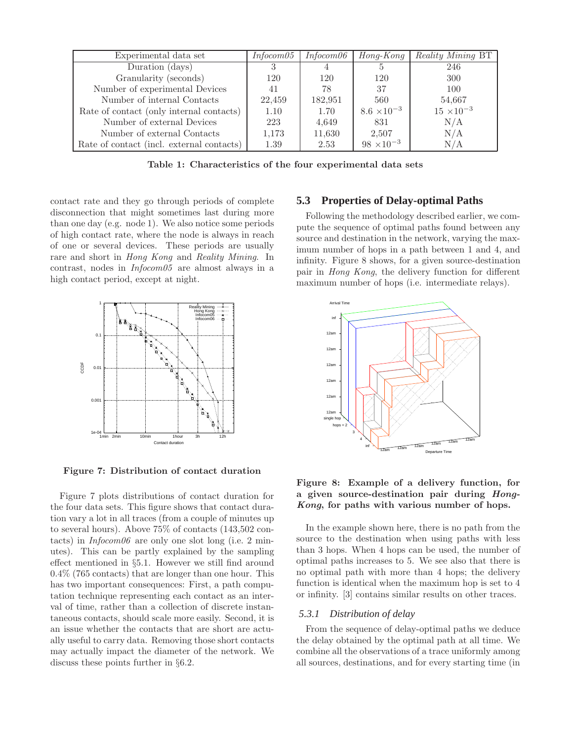| Experimental data set                     | Infocom05 | Infocom06 | $H$ ong-Kong         | <i>Reality Mining BT</i> |
|-------------------------------------------|-----------|-----------|----------------------|--------------------------|
| Duration (days)                           |           |           |                      | 246                      |
| Granularity (seconds)                     | 120       | 120       | 120                  | 300                      |
| Number of experimental Devices            | 41        | 78        | 37                   | 100                      |
| Number of internal Contacts               | 22,459    | 182,951   | 560                  | 54,667                   |
| Rate of contact (only internal contacts)  | 1.10      | 1.70      | $8.6 \times 10^{-3}$ | $15 \times 10^{-3}$      |
| Number of external Devices                | 223       | 4,649     | 831                  | N/A                      |
| Number of external Contacts               | 1,173     | 11,630    | 2,507                | N/A                      |
| Rate of contact (incl. external contacts) | 1.39      | 2.53      | $98 \times 10^{-3}$  | N/A                      |

Table 1: Characteristics of the four experimental data sets

contact rate and they go through periods of complete disconnection that might sometimes last during more than one day (e.g. node 1). We also notice some periods of high contact rate, where the node is always in reach of one or several devices. These periods are usually rare and short in Hong Kong and Reality Mining. In contrast, nodes in Infocom05 are almost always in a high contact period, except at night.



Figure 7: Distribution of contact duration

Figure 7 plots distributions of contact duration for the four data sets. This figure shows that contact duration vary a lot in all traces (from a couple of minutes up to several hours). Above 75% of contacts (143,502 contacts) in  $Infocom06$  are only one slot long (i.e. 2 minutes). This can be partly explained by the sampling effect mentioned in §5.1. However we still find around 0.4% (765 contacts) that are longer than one hour. This has two important consequences: First, a path computation technique representing each contact as an interval of time, rather than a collection of discrete instantaneous contacts, should scale more easily. Second, it is an issue whether the contacts that are short are actually useful to carry data. Removing those short contacts may actually impact the diameter of the network. We discuss these points further in §6.2.

## **5.3 Properties of Delay-optimal Paths**

Following the methodology described earlier, we compute the sequence of optimal paths found between any source and destination in the network, varying the maximum number of hops in a path between 1 and 4, and infinity. Figure 8 shows, for a given source-destination pair in Hong Kong, the delivery function for different maximum number of hops (i.e. intermediate relays).



Figure 8: Example of a delivery function, for a given source-destination pair during Hong-Kong, for paths with various number of hops.

In the example shown here, there is no path from the source to the destination when using paths with less than 3 hops. When 4 hops can be used, the number of optimal paths increases to 5. We see also that there is no optimal path with more than 4 hops; the delivery function is identical when the maximum hop is set to 4 or infinity. [3] contains similar results on other traces.

#### *5.3.1 Distribution of delay*

From the sequence of delay-optimal paths we deduce the delay obtained by the optimal path at all time. We combine all the observations of a trace uniformly among all sources, destinations, and for every starting time (in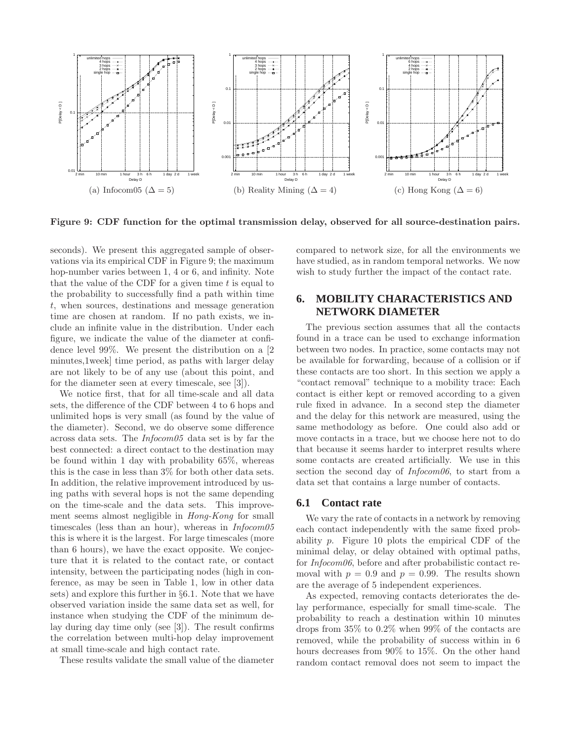

Figure 9: CDF function for the optimal transmission delay, observed for all source-destination pairs.

seconds). We present this aggregated sample of observations via its empirical CDF in Figure 9; the maximum hop-number varies between 1, 4 or 6, and infinity. Note that the value of the CDF for a given time  $t$  is equal to the probability to successfully find a path within time t, when sources, destinations and message generation time are chosen at random. If no path exists, we include an infinite value in the distribution. Under each figure, we indicate the value of the diameter at confidence level 99%. We present the distribution on a [2 minutes,1week] time period, as paths with larger delay are not likely to be of any use (about this point, and for the diameter seen at every timescale, see [3]).

We notice first, that for all time-scale and all data sets, the difference of the CDF between 4 to 6 hops and unlimited hops is very small (as found by the value of the diameter). Second, we do observe some difference across data sets. The Infocom05 data set is by far the best connected: a direct contact to the destination may be found within 1 day with probability 65%, whereas this is the case in less than 3% for both other data sets. In addition, the relative improvement introduced by using paths with several hops is not the same depending on the time-scale and the data sets. This improvement seems almost negligible in Hong-Kong for small timescales (less than an hour), whereas in  $Infocom05$ this is where it is the largest. For large timescales (more than 6 hours), we have the exact opposite. We conjecture that it is related to the contact rate, or contact intensity, between the participating nodes (high in conference, as may be seen in Table 1, low in other data sets) and explore this further in §6.1. Note that we have observed variation inside the same data set as well, for instance when studying the CDF of the minimum delay during day time only (see [3]). The result confirms the correlation between multi-hop delay improvement at small time-scale and high contact rate.

These results validate the small value of the diameter

compared to network size, for all the environments we have studied, as in random temporal networks. We now wish to study further the impact of the contact rate.

# **6. MOBILITY CHARACTERISTICS AND NETWORK DIAMETER**

The previous section assumes that all the contacts found in a trace can be used to exchange information between two nodes. In practice, some contacts may not be available for forwarding, because of a collision or if these contacts are too short. In this section we apply a "contact removal" technique to a mobility trace: Each contact is either kept or removed according to a given rule fixed in advance. In a second step the diameter and the delay for this network are measured, using the same methodology as before. One could also add or move contacts in a trace, but we choose here not to do that because it seems harder to interpret results where some contacts are created artificially. We use in this section the second day of *Infocom06*, to start from a data set that contains a large number of contacts.

#### **6.1 Contact rate**

We vary the rate of contacts in a network by removing each contact independently with the same fixed probability p. Figure 10 plots the empirical CDF of the minimal delay, or delay obtained with optimal paths, for Infocom06, before and after probabilistic contact removal with  $p = 0.9$  and  $p = 0.99$ . The results shown are the average of 5 independent experiences.

As expected, removing contacts deteriorates the delay performance, especially for small time-scale. The probability to reach a destination within 10 minutes drops from 35% to 0.2% when 99% of the contacts are removed, while the probability of success within in 6 hours decreases from 90% to 15%. On the other hand random contact removal does not seem to impact the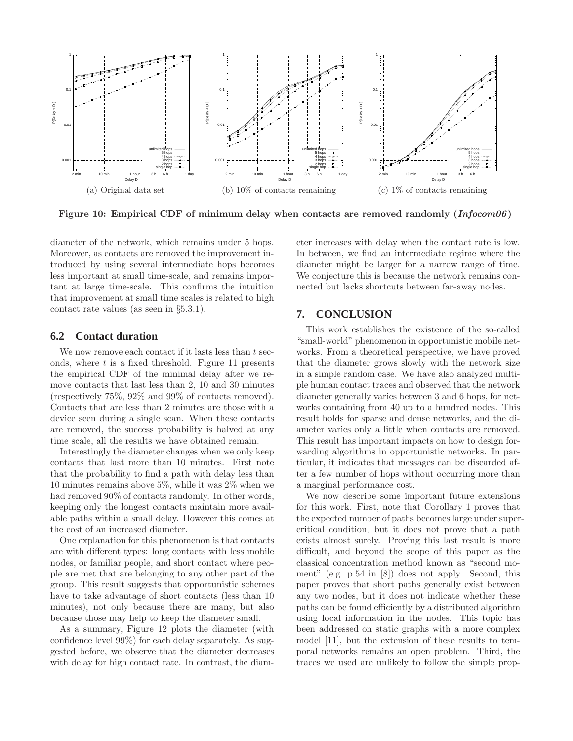

Figure 10: Empirical CDF of minimum delay when contacts are removed randomly  $(Infocom06)$ 

diameter of the network, which remains under 5 hops. Moreover, as contacts are removed the improvement introduced by using several intermediate hops becomes less important at small time-scale, and remains important at large time-scale. This confirms the intuition that improvement at small time scales is related to high contact rate values (as seen in §5.3.1).

#### **6.2 Contact duration**

We now remove each contact if it lasts less than  $t$  seconds, where t is a fixed threshold. Figure 11 presents the empirical CDF of the minimal delay after we remove contacts that last less than 2, 10 and 30 minutes (respectively 75%, 92% and 99% of contacts removed). Contacts that are less than 2 minutes are those with a device seen during a single scan. When these contacts are removed, the success probability is halved at any time scale, all the results we have obtained remain.

Interestingly the diameter changes when we only keep contacts that last more than 10 minutes. First note that the probability to find a path with delay less than 10 minutes remains above 5%, while it was 2% when we had removed  $90\%$  of contacts randomly. In other words, keeping only the longest contacts maintain more available paths within a small delay. However this comes at the cost of an increased diameter.

One explanation for this phenomenon is that contacts are with different types: long contacts with less mobile nodes, or familiar people, and short contact where people are met that are belonging to any other part of the group. This result suggests that opportunistic schemes have to take advantage of short contacts (less than 10 minutes), not only because there are many, but also because those may help to keep the diameter small.

As a summary, Figure 12 plots the diameter (with confidence level 99%) for each delay separately. As suggested before, we observe that the diameter decreases with delay for high contact rate. In contrast, the diameter increases with delay when the contact rate is low. In between, we find an intermediate regime where the diameter might be larger for a narrow range of time. We conjecture this is because the network remains connected but lacks shortcuts between far-away nodes.

# **7. CONCLUSION**

This work establishes the existence of the so-called "small-world" phenomenon in opportunistic mobile networks. From a theoretical perspective, we have proved that the diameter grows slowly with the network size in a simple random case. We have also analyzed multiple human contact traces and observed that the network diameter generally varies between 3 and 6 hops, for networks containing from 40 up to a hundred nodes. This result holds for sparse and dense networks, and the diameter varies only a little when contacts are removed. This result has important impacts on how to design forwarding algorithms in opportunistic networks. In particular, it indicates that messages can be discarded after a few number of hops without occurring more than a marginal performance cost.

We now describe some important future extensions for this work. First, note that Corollary 1 proves that the expected number of paths becomes large under supercritical condition, but it does not prove that a path exists almost surely. Proving this last result is more difficult, and beyond the scope of this paper as the classical concentration method known as "second moment" (e.g. p.54 in [8]) does not apply. Second, this paper proves that short paths generally exist between any two nodes, but it does not indicate whether these paths can be found efficiently by a distributed algorithm using local information in the nodes. This topic has been addressed on static graphs with a more complex model [11], but the extension of these results to temporal networks remains an open problem. Third, the traces we used are unlikely to follow the simple prop-